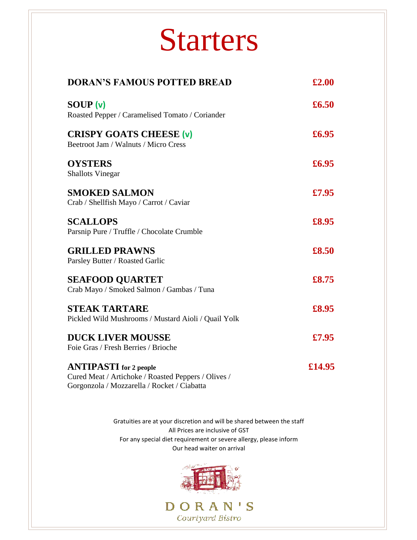## Starters

| <b>DORAN'S FAMOUS POTTED BREAD</b>                                                                                                  | £2.00  |
|-------------------------------------------------------------------------------------------------------------------------------------|--------|
| <b>SOUP</b> (v)<br>Roasted Pepper / Caramelised Tomato / Coriander                                                                  | £6.50  |
| <b>CRISPY GOATS CHEESE (v)</b><br>Beetroot Jam / Walnuts / Micro Cress                                                              | £6.95  |
| <b>OYSTERS</b><br><b>Shallots Vinegar</b>                                                                                           | £6.95  |
| <b>SMOKED SALMON</b><br>Crab / Shellfish Mayo / Carrot / Caviar                                                                     | £7.95  |
| <b>SCALLOPS</b><br>Parsnip Pure / Truffle / Chocolate Crumble                                                                       | £8.95  |
| <b>GRILLED PRAWNS</b><br>Parsley Butter / Roasted Garlic                                                                            | £8.50  |
| <b>SEAFOOD QUARTET</b><br>Crab Mayo / Smoked Salmon / Gambas / Tuna                                                                 | £8.75  |
| <b>STEAK TARTARE</b><br>Pickled Wild Mushrooms / Mustard Aioli / Quail Yolk                                                         | £8.95  |
| <b>DUCK LIVER MOUSSE</b><br>Foie Gras / Fresh Berries / Brioche                                                                     | £7.95  |
| <b>ANTIPASTI</b> for 2 people<br>Cured Meat / Artichoke / Roasted Peppers / Olives /<br>Gorgonzola / Mozzarella / Rocket / Ciabatta | £14.95 |

Gratuities are at your discretion and will be shared between the staff All Prices are inclusive of GST For any special diet requirement or severe allergy, please inform Our head waiter on arrival

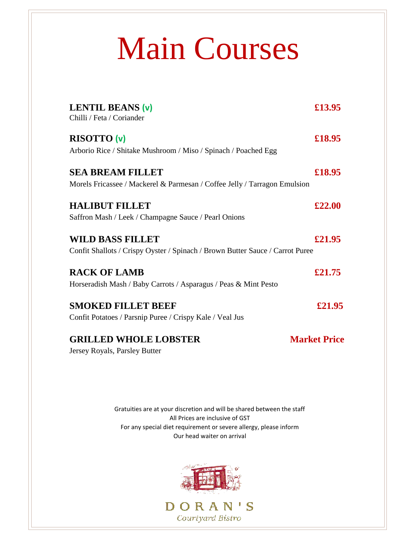# Main Courses

| LENTIL BEANS (v)<br>Chilli / Feta / Coriander                                                            | £13.95              |
|----------------------------------------------------------------------------------------------------------|---------------------|
| <b>RISOTTO (v)</b><br>Arborio Rice / Shitake Mushroom / Miso / Spinach / Poached Egg                     | £18.95              |
| <b>SEA BREAM FILLET</b><br>Morels Fricassee / Mackerel & Parmesan / Coffee Jelly / Tarragon Emulsion     | £18.95              |
| <b>HALIBUT FILLET</b><br>Saffron Mash / Leek / Champagne Sauce / Pearl Onions                            | £22.00              |
| <b>WILD BASS FILLET</b><br>Confit Shallots / Crispy Oyster / Spinach / Brown Butter Sauce / Carrot Puree | £21.95              |
| <b>RACK OF LAMB</b><br>Horseradish Mash / Baby Carrots / Asparagus / Peas & Mint Pesto                   | £21.75              |
| <b>SMOKED FILLET BEEF</b><br>Confit Potatoes / Parsnip Puree / Crispy Kale / Veal Jus                    | £21.95              |
| <b>GRILLED WHOLE LOBSTER</b><br>Jersey Royals, Parsley Butter                                            | <b>Market Price</b> |

Gratuities are at your discretion and will be shared between the staff All Prices are inclusive of GST For any special diet requirement or severe allergy, please inform Our head waiter on arrival

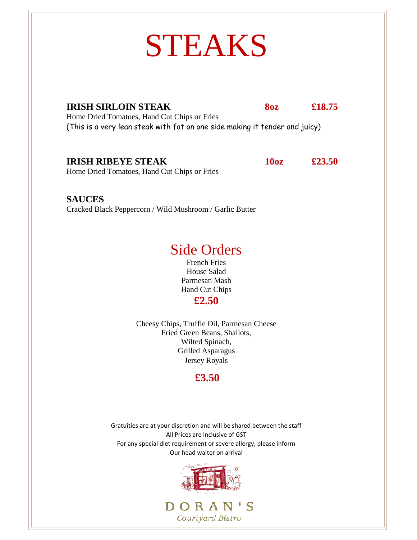## STEAKS

**IRISH SIRLOIN STEAK 8oz £18.75** Home Dried Tomatoes, Hand Cut Chips or Fries (This is a very lean steak with fat on one side making it tender and juicy)

#### **IRISH RIBEYE STEAK 10oz £23.50**

Home Dried Tomatoes, Hand Cut Chips or Fries

**SAUCES**  Cracked Black Peppercorn / Wild Mushroom / Garlic Butter

### Side Orders

French Fries House Salad Parmesan Mash Hand Cut Chips **£2.50**

Cheesy Chips, Truffle Oil, Parmesan Cheese Fried Green Beans, Shallots, Wilted Spinach, Grilled Asparagus Jersey Royals

### **£3.50**

Gratuities are at your discretion and will be shared between the staff All Prices are inclusive of GST For any special diet requirement or severe allergy, please inform Our head waiter on arrival

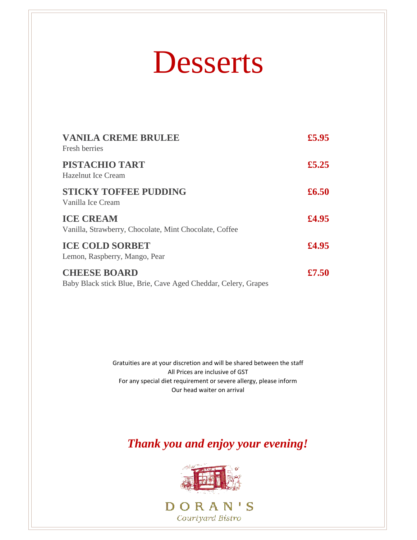## Desserts

| <b>VANILA CREME BRULEE</b><br>Fresh berries                                           | £5.95 |
|---------------------------------------------------------------------------------------|-------|
| PISTACHIO TART<br>Hazelnut Ice Cream                                                  | £5.25 |
| <b>STICKY TOFFEE PUDDING</b><br>Vanilla Ice Cream                                     | £6.50 |
| <b>ICE CREAM</b><br>Vanilla, Strawberry, Chocolate, Mint Chocolate, Coffee            | £4.95 |
| <b>ICE COLD SORBET</b><br>Lemon, Raspberry, Mango, Pear                               | £4.95 |
| <b>CHEESE BOARD</b><br>Baby Black stick Blue, Brie, Cave Aged Cheddar, Celery, Grapes | £7.50 |

Gratuities are at your discretion and will be shared between the staff All Prices are inclusive of GST For any special diet requirement or severe allergy, please inform Our head waiter on arrival

*Thank you and enjoy your evening!* 

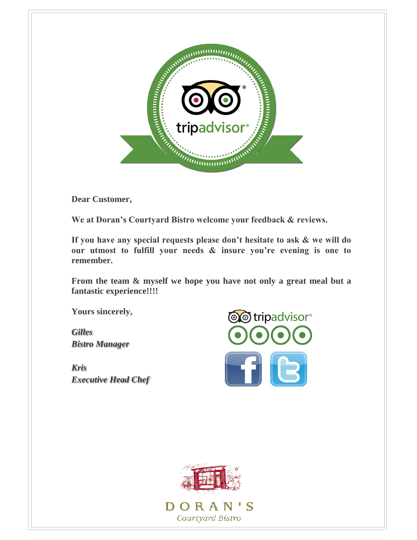

**Dear Customer,** 

**We at Doran's Courtyard Bistro welcome your feedback & reviews.**

**If you have any special requests please don't hesitate to ask & we will do our utmost to fulfill your needs & insure you're evening is one to remember.**

**From the team & myself we hope you have not only a great meal but a fantastic experience!!!!**

**Yours sincerely,** 

*Gilles Bistro Manager*

 *Kris Executive Head Chef* 



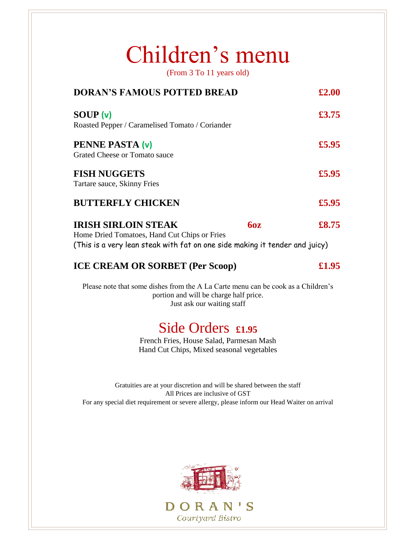### Children's menu

(From 3 To 11 years old)

| <b>DORAN'S FAMOUS POTTED BREAD</b>                                                                                                                                      | £2.00 |
|-------------------------------------------------------------------------------------------------------------------------------------------------------------------------|-------|
| <b>SOUP</b> (v)<br>Roasted Pepper / Caramelised Tomato / Coriander                                                                                                      | £3.75 |
| PENNE PASTA (v)<br>Grated Cheese or Tomato sauce                                                                                                                        | £5.95 |
| <b>FISH NUGGETS</b><br>Tartare sauce, Skinny Fries                                                                                                                      | £5.95 |
| <b>BUTTERFLY CHICKEN</b>                                                                                                                                                | £5.95 |
| <b>IRISH SIRLOIN STEAK</b><br><b>60z</b><br>Home Dried Tomatoes, Hand Cut Chips or Fries<br>(This is a very lean steak with fat on one side making it tender and juicy) | £8.75 |
| <b>ICE CREAM OR SORBET (Per Scoop)</b>                                                                                                                                  | £1.95 |
| Please note that some dishes from the A La Carte menu can be cook as a Children's<br>portion and will be charge half price.<br>Just ask our waiting staff               |       |
| Side Orders £1.95                                                                                                                                                       |       |

French Fries, House Salad, Parmesan Mash Hand Cut Chips, Mixed seasonal vegetables

Gratuities are at your discretion and will be shared between the staff All Prices are inclusive of GST For any special diet requirement or severe allergy, please inform our Head Waiter on arrival



Courtyard Bistro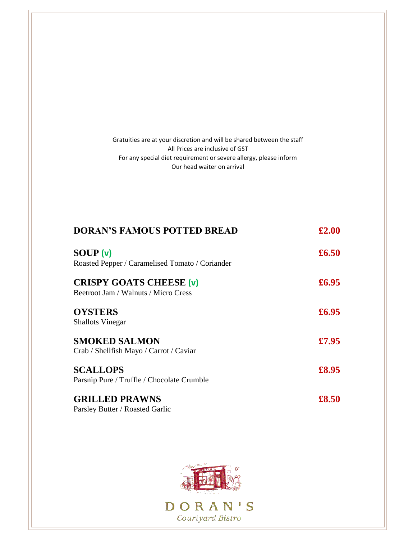Gratuities are at your discretion and will be shared between the staff All Prices are inclusive of GST For any special diet requirement or severe allergy, please inform Our head waiter on arrival

| <b>DORAN'S FAMOUS POTTED BREAD</b>                                     | £2.00 |
|------------------------------------------------------------------------|-------|
| SOUP(v)                                                                | £6.50 |
| Roasted Pepper / Caramelised Tomato / Coriander                        |       |
| <b>CRISPY GOATS CHEESE (v)</b><br>Beetroot Jam / Walnuts / Micro Cress | £6.95 |
| <b>OYSTERS</b>                                                         | £6.95 |
| <b>Shallots Vinegar</b>                                                |       |
| <b>SMOKED SALMON</b>                                                   | £7.95 |
| Crab / Shellfish Mayo / Carrot / Caviar                                |       |
| <b>SCALLOPS</b>                                                        | £8.95 |
| Parsnip Pure / Truffle / Chocolate Crumble                             |       |
| <b>GRILLED PRAWNS</b>                                                  | £8.50 |
| Parsley Butter / Roasted Garlic                                        |       |